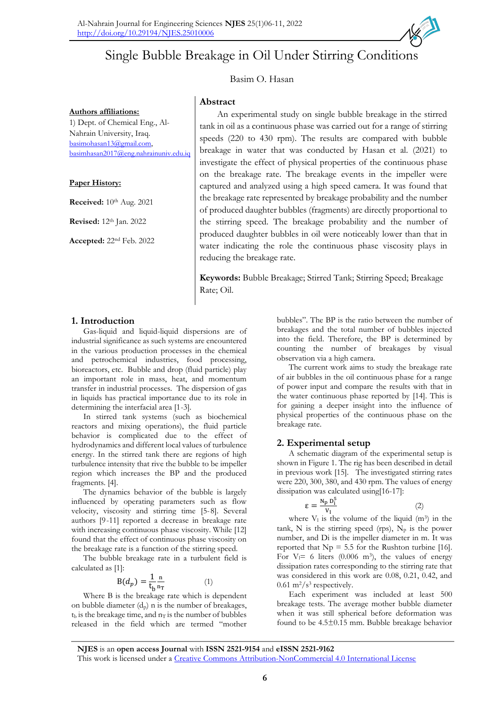**Abstract**



# Basim O. Hasan

**Authors affiliations:** 1) Dept. of Chemical Eng., Al-Nahrain University, Iraq. [basimohasan13@gmail.com,](mailto:basimohasan13@gmail.com) [basimhasan2017@eng.nahrainuniv.edu.iq](mailto:basimhasan2017@eng.nahrainuniv.edu.iq)

#### **Paper History:**

**Received:**  $10^{th}$  Aug. 2021

**Revised:** 12th Jan. 2022

**Accepted:** 22nd Feb. 2022

An experimental study on single bubble breakage in the stirred tank in oil as a continuous phase was carried out for a range of stirring speeds (220 to 430 rpm). The results are compared with bubble breakage in water that was conducted by Hasan et al. (2021) to investigate the effect of physical properties of the continuous phase on the breakage rate. The breakage events in the impeller were captured and analyzed using a high speed camera. It was found that the breakage rate represented by breakage probability and the number of produced daughter bubbles (fragments) are directly proportional to the stirring speed. The breakage probability and the number of produced daughter bubbles in oil were noticeably lower than that in water indicating the role the continuous phase viscosity plays in reducing the breakage rate.

**Keywords:** Bubble Breakage; Stirred Tank; Stirring Speed; Breakage Rate; Oil.

## **1. Introduction**

Gas-liquid and liquid-liquid dispersions are of industrial significance as such systems are encountered in the various production processes in the chemical and petrochemical industries, food processing, bioreactors, etc. Bubble and drop (fluid particle) play an important role in mass, heat, and momentum transfer in industrial processes. The dispersion of gas in liquids has practical importance due to its role in determining the interfacial area [1-3].

In stirred tank systems (such as biochemical reactors and mixing operations), the fluid particle behavior is complicated due to the effect of hydrodynamics and different local values of turbulence energy. In the stirred tank there are regions of high turbulence intensity that rive the bubble to be impeller region which increases the BP and the produced fragments. [4].

The dynamics behavior of the bubble is largely influenced by operating parameters such as flow velocity, viscosity and stirring time [5-8]. Several authors [9-11] reported a decrease in breakage rate with increasing continuous phase viscosity. While [12] found that the effect of continuous phase viscosity on the breakage rate is a function of the stirring speed.

The bubble breakage rate in a turbulent field is calculated as [1]:

$$
B(d_p) = \frac{1}{t_b} \frac{n}{n_T} \tag{1}
$$

Where B is the breakage rate which is dependent on bubble diameter  $(d_p)$  n is the number of breakages,  $t<sub>b</sub>$  is the breakage time, and  $n<sub>T</sub>$  is the number of bubbles released in the field which are termed "mother

bubbles". The BP is the ratio between the number of breakages and the total number of bubbles injected into the field. Therefore, the BP is determined by counting the number of breakages by visual observation via a high camera.

The current work aims to study the breakage rate of air bubbles in the oil continuous phase for a range of power input and compare the results with that in the water continuous phase reported by [14]. This is for gaining a deeper insight into the influence of physical properties of the continuous phase on the breakage rate.

## **2. Experimental setup**

A schematic diagram of the experimental setup is shown in Figure 1. The rig has been described in detail in previous work [15]. The investigated stirring rates were 220, 300, 380, and 430 rpm. The values of energy dissipation was calculated using[16-17]:

$$
\varepsilon = \frac{N_p D_i^5}{V_1} \tag{2}
$$

where  $V_1$  is the volume of the liquid  $(m^3)$  in the tank, N is the stirring speed (rps),  $N_p$  is the power number, and Di is the impeller diameter in m. It was reported that  $Np = 5.5$  for the Rushton turbine [16]. For  $V_1$ = 6 liters (0.006 m<sup>3</sup>), the values of energy dissipation rates corresponding to the stirring rate that was considered in this work are 0.08, 0.21, 0.42, and  $0.61 \text{ m}^2/\text{s}^3$  respectively.

Each experiment was included at least 500 breakage tests. The average mother bubble diameter when it was still spherical before deformation was found to be 4.5±0.15 mm. Bubble breakage behavior

**NJES** is an **open access Journal** with **ISSN 2521-9154** and **eISSN 2521-9162** This work is licensed under a [Creative Commons Attribution-NonCommercial 4.0 International License](http://creativecommons.org/licenses/by-nc/4.0/)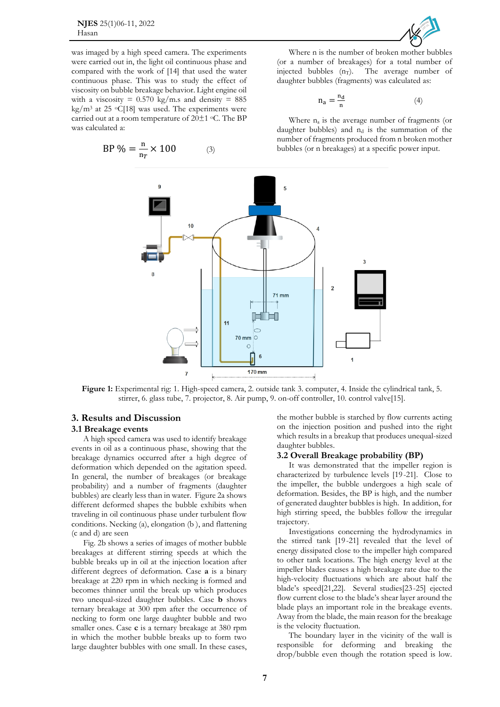**NJES** 25(1)06-11, 2022 Hasan



was imaged by a high speed camera. The experiments were carried out in, the light oil continuous phase and compared with the work of [14] that used the water continuous phase. This was to study the effect of viscosity on bubble breakage behavior. Light engine oil with a viscosity =  $0.570 \text{ kg/m.s}$  and density = 885 kg/m<sup>3</sup> at 25  $\circ$ C[18] was used. The experiments were carried out at a room temperature of  $20±1$  °C. The BP was calculated a:

$$
BP\% = \frac{n}{n_T} \times 100\tag{3}
$$

Where n is the number of broken mother bubbles (or a number of breakages) for a total number of injected bubbles  $(n_T)$ . The average number of daughter bubbles (fragments) was calculated as:

$$
n_a = \frac{n_d}{n} \tag{4}
$$

Where  $n_a$  is the average number of fragments (or daughter bubbles) and  $n_d$  is the summation of the number of fragments produced from n broken mother bubbles (or n breakages) at a specific power input.



**Figure 1:** Experimental rig: 1. High-speed camera, 2. outside tank 3. computer, 4. Inside the cylindrical tank, 5. stirrer, 6. glass tube, 7. projector, 8. Air pump, 9. on-off controller, 10. control valve[15].

## **3. Results and Discussion**

#### **3.1 Breakage events**

A high speed camera was used to identify breakage events in oil as a continuous phase, showing that the breakage dynamics occurred after a high degree of deformation which depended on the agitation speed. In general, the number of breakages (or breakage probability) and a number of fragments (daughter bubbles) are clearly less than in water. Figure 2a shows different deformed shapes the bubble exhibits when traveling in oil continuous phase under turbulent flow conditions. Necking (a), elongation (b ), and flattening (c and d) are seen

Fig. 2b shows a series of images of mother bubble breakages at different stirring speeds at which the bubble breaks up in oil at the injection location after different degrees of deformation. Case **a** is a binary breakage at 220 rpm in which necking is formed and becomes thinner until the break up which produces two unequal-sized daughter bubbles. Case **b** shows ternary breakage at 300 rpm after the occurrence of necking to form one large daughter bubble and two smaller ones. Case **c** is a ternary breakage at 380 rpm in which the mother bubble breaks up to form two large daughter bubbles with one small. In these cases,

the mother bubble is starched by flow currents acting on the injection position and pushed into the right which results in a breakup that produces unequal-sized daughter bubbles.

#### **3.2 Overall Breakage probability (BP)**

It was demonstrated that the impeller region is characterized by turbulence levels [19-21]. Close to the impeller, the bubble undergoes a high scale of deformation. Besides, the BP is high, and the number of generated daughter bubbles is high. In addition, for high stirring speed, the bubbles follow the irregular trajectory.

Investigations concerning the hydrodynamics in the stirred tank [19-21] revealed that the level of energy dissipated close to the impeller high compared to other tank locations. The high energy level at the impeller blades causes a high breakage rate due to the high-velocity fluctuations which are about half the blade's speed[21,22]. Several studies[23-25] ejected flow current close to the blade's shear layer around the blade plays an important role in the breakage events. Away from the blade, the main reason for the breakage is the velocity fluctuation.

The boundary layer in the vicinity of the wall is responsible for deforming and breaking the drop/bubble even though the rotation speed is low.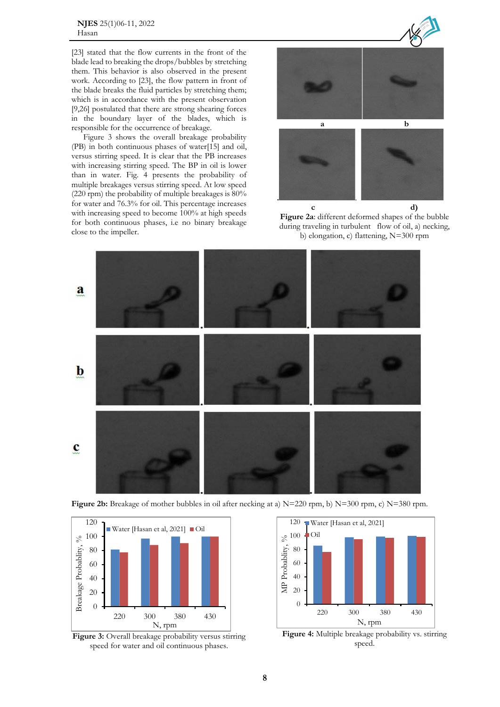**NJES** 25(1)06-11, 2022 Hasan

[23] stated that the flow currents in the front of the blade lead to breaking the drops/bubbles by stretching them. This behavior is also observed in the present work. According to [23], the flow pattern in front of the blade breaks the fluid particles by stretching them; which is in accordance with the present observation [9,26] postulated that there are strong shearing forces in the boundary layer of the blades, which is responsible for the occurrence of breakage.

Figure 3 shows the overall breakage probability (PB) in both continuous phases of water[15] and oil, versus stirring speed. It is clear that the PB increases with increasing stirring speed. The BP in oil is lower than in water. Fig. 4 presents the probability of multiple breakages versus stirring speed. At low speed (220 rpm) the probability of multiple breakages is 80% for water and 76.3% for oil. This percentage increases with increasing speed to become 100% at high speeds for both continuous phases, i.e no binary breakage close to the impeller.







**Figure 2b:** Breakage of mother bubbles in oil after necking at a) N=220 rpm, b) N=300 rpm, c) N=380 rpm.



**Figure 3:** Overall breakage probability versus stirring speed for water and oil continuous phases.



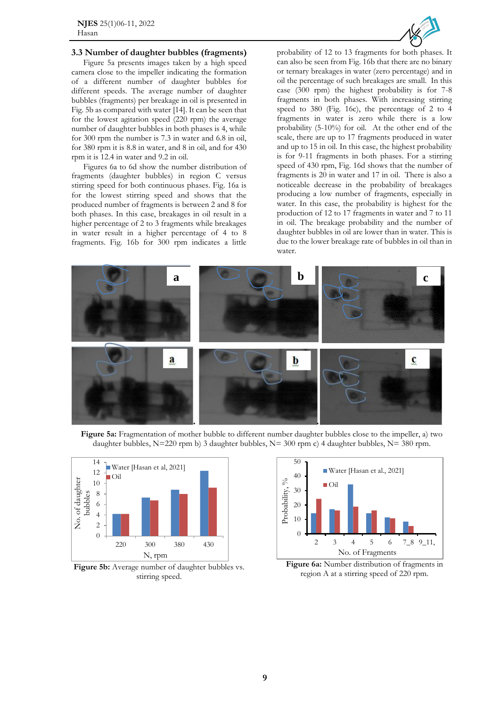

#### **3.3 Number of daughter bubbles (fragments)**

Figure 5a presents images taken by a high speed camera close to the impeller indicating the formation of a different number of daughter bubbles for different speeds. The average number of daughter bubbles (fragments) per breakage in oil is presented in Fig. 5b as compared with water [14]. It can be seen that for the lowest agitation speed (220 rpm) the average number of daughter bubbles in both phases is 4, while for 300 rpm the number is 7.3 in water and 6.8 in oil, for 380 rpm it is 8.8 in water, and 8 in oil, and for 430 rpm it is 12.4 in water and 9.2 in oil.

Figures 6a to 6d show the number distribution of fragments (daughter bubbles) in region C versus stirring speed for both continuous phases. Fig. 16a is for the lowest stirring speed and shows that the produced number of fragments is between 2 and 8 for both phases. In this case, breakages in oil result in a higher percentage of 2 to 3 fragments while breakages in water result in a higher percentage of 4 to 8 fragments. Fig. 16b for 300 rpm indicates a little

probability of 12 to 13 fragments for both phases. It can also be seen from Fig. 16b that there are no binary or ternary breakages in water (zero percentage) and in oil the percentage of such breakages are small. In this case (300 rpm) the highest probability is for 7-8 fragments in both phases. With increasing stirring speed to 380 (Fig. 16c), the percentage of 2 to 4 fragments in water is zero while there is a low probability (5-10%) for oil. At the other end of the scale, there are up to 17 fragments produced in water and up to 15 in oil. In this case, the highest probability is for 9-11 fragments in both phases. For a stirring speed of 430 rpm, Fig. 16d shows that the number of fragments is 20 in water and 17 in oil. There is also a noticeable decrease in the probability of breakages producing a low number of fragments, especially in water. In this case, the probability is highest for the production of 12 to 17 fragments in water and 7 to 11 in oil. The breakage probability and the number of daughter bubbles in oil are lower than in water. This is due to the lower breakage rate of bubbles in oil than in water.



**Figure** 5a: Fragmentation of mother bubble to different number daughter bubbles close to the impeller, a) two daughter bubbles, N=220 rpm b) 3 daughter bubbles, N= 300 rpm c) 4 daughter bubbles, N= 380 rpm.



Figure 5b: Average number of daughter bubbles vs. stirring speed.



**Figure 6a:** Number distribution of fragments in region A at a stirring speed of 220 rpm.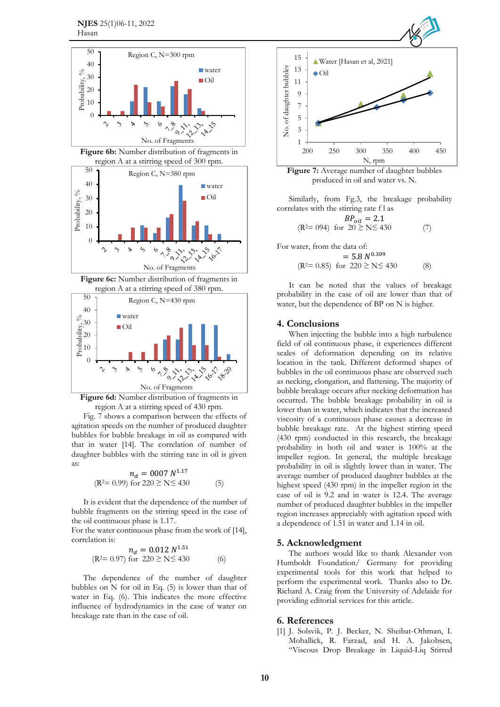





Fig. 7 shows a comparison between the effects of agitation speeds on the number of produced daughter bubbles for bubble breakage in oil as compared with that in water [14]. The correlation of number of daughter bubbles with the stirring rate in oil is given as:

$$
n_d = 0007 N^{1.17}
$$
  
(R<sup>2</sup>= 0.99) for 220  $\ge N \le 430$  (5)

It is evident that the dependence of the number of bubble fragments on the stirring speed in the case of the oil continuous phase is 1.17.

For the water continuous phase from the work of [14], correlation is: 1.51

$$
n_d = 0.012 N^{1.51}
$$
  
(R<sup>2</sup>= 0.97) for 220  $\ge N \le 430$  (6)

The dependence of the number of daughter bubbles on  $N$  for oil in Eq. (5) is lower than that of water in Eq. (6). This indicates the more effective influence of hydrodynamics in the case of water on breakage rate than in the case of oil.



**Figure 7:** Average number of daughter bubbles produced in oil and water vs. N.

Similarly, from Fg.3, the breakage probability correlates with the stirring rate f l as

$$
BP_{oil} = 2.1
$$
  
(R<sup>2</sup>= 094) for 20  $\ge$  N $\le$  430 (7)

For water, from the data of:

$$
= 5.8 N^{0.309}
$$
  
(R<sup>2</sup>= 0.85) for 220  $\ge N \le 430$  (8)

It can be noted that the values of breakage probability in the case of oil are lower than that of water, but the dependence of BP on N is higher.

#### **4. Conclusions**

When injecting the bubble into a high turbulence field of oil continuous phase, it experiences different scales of deformation depending on its relative location in the tank. Different deformed shapes of bubbles in the oil continuous phase are observed such as necking, elongation, and flattening**.** The majority of bubble breakage occurs after necking deformation has occurred. The bubble breakage probability in oil is lower than in water, which indicates that the increased viscosity of a continuous phase causes a decrease in bubble breakage rate. At the highest stirring speed (430 rpm) conducted in this research, the breakage probability in both oil and water is 100% at the impeller region. In general, the multiple breakage probability in oil is slightly lower than in water. The average number of produced daughter bubbles at the highest speed (430 rpm) in the impeller region in the case of oil is 9.2 and in water is 12.4. The average number of produced daughter bubbles in the impeller region increases appreciably with agitation speed with a dependence of 1.51 in water and 1.14 in oil.

## **5. Acknowledgment**

The authors would like to thank Alexander von Humboldt Foundation/ Germany for providing experimental tools for this work that helped to perform the experimental work. Thanks also to Dr. Richard A. Craig from the University of Adelaide for providing editorial services for this article.

#### **6. References**

[1] J. Solsvik, P. J. Becker, N. Sheibat-Othman, I. Mohallick, R. Farzad, and H. A. Jakobsen, "Viscous Drop Breakage in Liquid-Liq Stirred